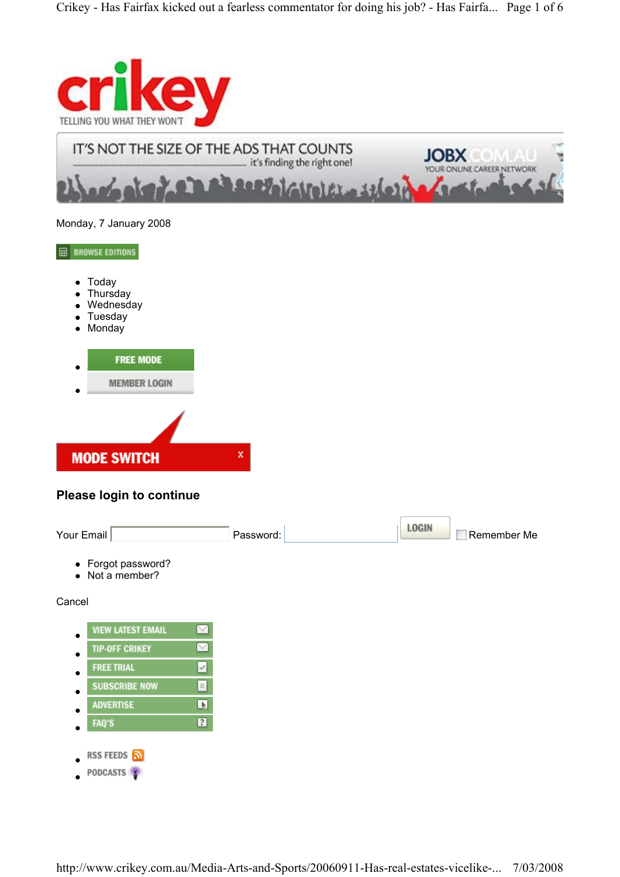

Monday, 7 January 2008

 $\boxplus$  BROWSE EDITIONS

- Today
- Thursday
- Wednesday
- Tuesday
- Monday



# Please login to continue



| <b>VIEW LATEST EMAIL</b> |     |
|--------------------------|-----|
| <b>TIP-OFF CRIKEY</b>    |     |
| <b>FREE TRIAL</b>        |     |
| <b>SUBSCRIBE NOW</b>     |     |
| <b>ADVERTISE</b>         | l k |
| <b>FAQ'S</b>             | ?   |
|                          |     |
| RSS FEEDS                |     |
| PODCASTS                 |     |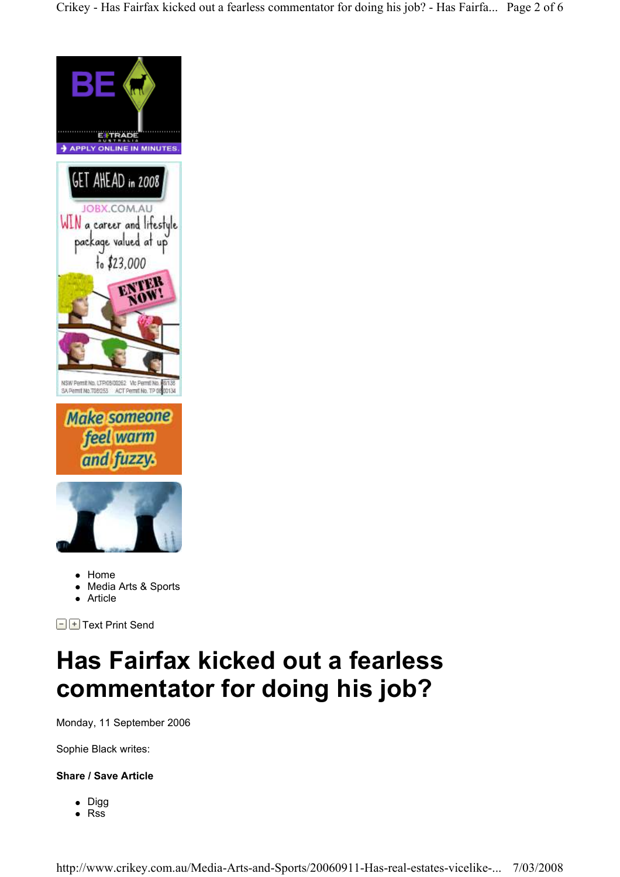Crikey - Has Fairfax kicked out a fearless commentator for doing his job? - Has Fairfa... Page 2 of 6



- Media Arts & Sports
- Article

 $\Box$  Text Print Send

# Has Fairfax kicked out a fearless commentator for doing his job?

Monday, 11 September 2006

Sophie Black writes:

## Share / Save Article

• Digg • Rss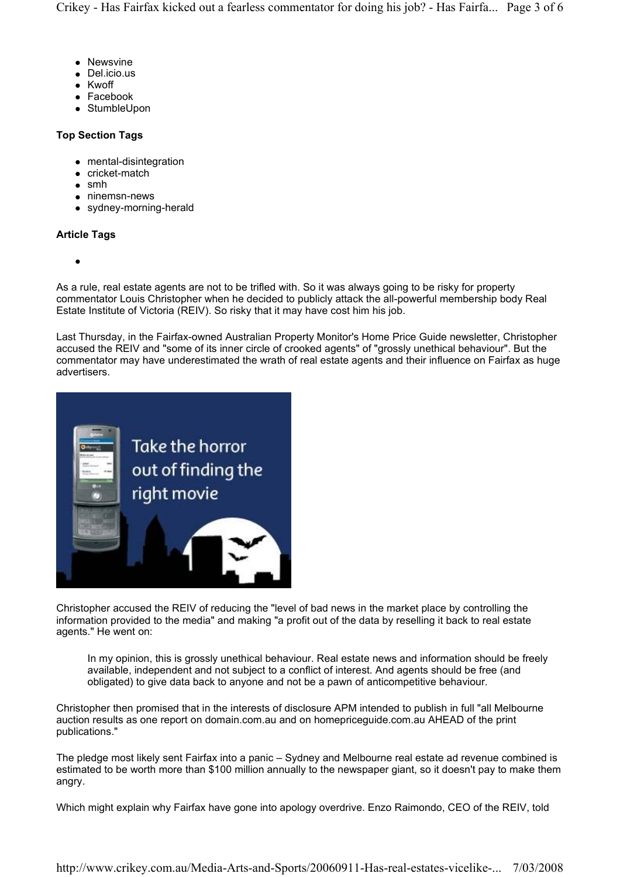- Newsvine
- Del.icio.us
- Kwoff
- Facebook
- StumbleUpon

## Top Section Tags

- mental-disintegration
- cricket-match
- $\bullet$  smh
- ninemsn-news
- sydney-morning-herald

### Article Tags

 $\bullet$ 

As a rule, real estate agents are not to be trifled with. So it was always going to be risky for property commentator Louis Christopher when he decided to publicly attack the all-powerful membership body Real Estate Institute of Victoria (REIV). So risky that it may have cost him his job.

Last Thursday, in the Fairfax-owned Australian Property Monitor's Home Price Guide newsletter, Christopher accused the REIV and "some of its inner circle of crooked agents" of "grossly unethical behaviour". But the commentator may have underestimated the wrath of real estate agents and their influence on Fairfax as huge advertisers.



Christopher accused the REIV of reducing the "level of bad news in the market place by controlling the information provided to the media" and making "a profit out of the data by reselling it back to real estate agents." He went on:

In my opinion, this is grossly unethical behaviour. Real estate news and information should be freely available, independent and not subject to a conflict of interest. And agents should be free (and obligated) to give data back to anyone and not be a pawn of anticompetitive behaviour.

Christopher then promised that in the interests of disclosure APM intended to publish in full "all Melbourne auction results as one report on domain.com.au and on homepriceguide.com.au AHEAD of the print publications."

The pledge most likely sent Fairfax into a panic – Sydney and Melbourne real estate ad revenue combined is estimated to be worth more than \$100 million annually to the newspaper giant, so it doesn't pay to make them angry.

Which might explain why Fairfax have gone into apology overdrive. Enzo Raimondo, CEO of the REIV, told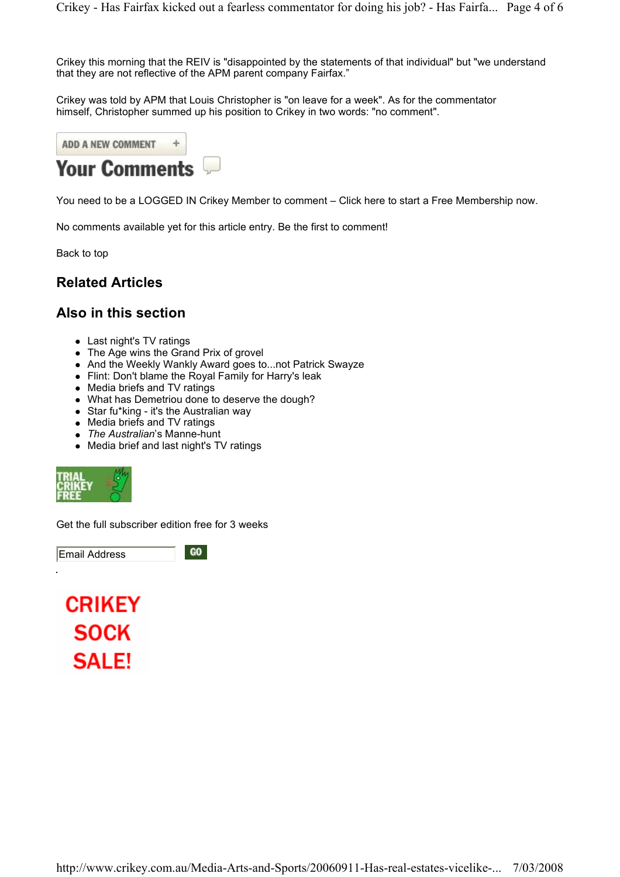Crikey this morning that the REIV is "disappointed by the statements of that individual" but "we understand that they are not reflective of the APM parent company Fairfax."

Crikey was told by APM that Louis Christopher is "on leave for a week". As for the commentator himself, Christopher summed up his position to Crikey in two words: "no comment".



You need to be a LOGGED IN Crikey Member to comment – Click here to start a Free Membership now.

No comments available yet for this article entry. Be the first to comment!

Back to top

# Related Articles

# Also in this section

- Last night's TV ratings
- The Age wins the Grand Prix of grovel
- And the Weekly Wankly Award goes to...not Patrick Swayze
- Flint: Don't blame the Royal Family for Harry's leak
- Media briefs and TV ratings
- What has Demetriou done to deserve the dough?
- Star fu\*king it's the Australian way
- Media briefs and TV ratings
- The Australian's Manne-hunt
- Media brief and last night's TV ratings



Get the full subscriber edition free for 3 weeks

Email Address

GO

**CRIKEY SOCK SALE!**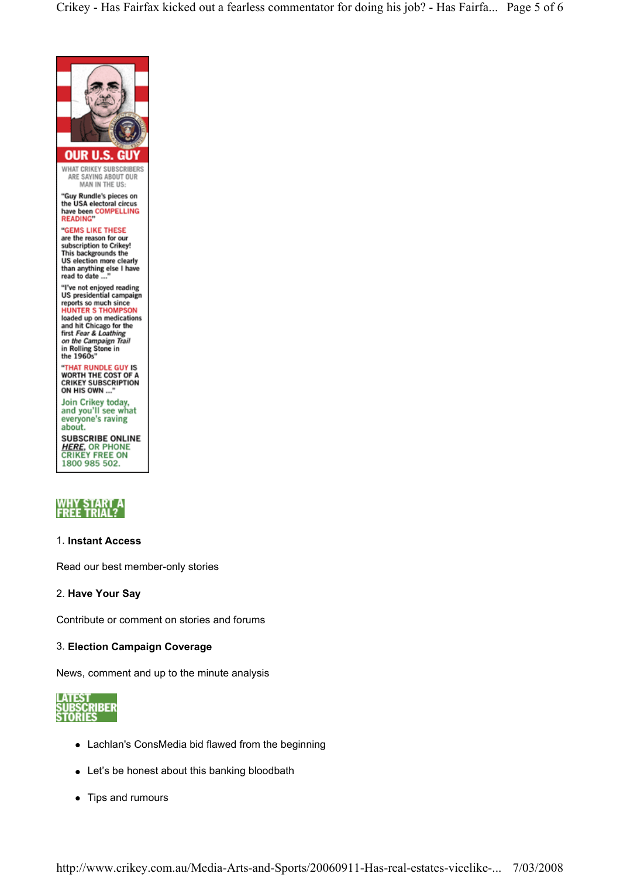Crikey - Has Fairfax kicked out a fearless commentator for doing his job? - Has Fairfa... Page 5 of 6





#### 1. Instant Access

Read our best member-only stories

#### 2. Have Your Say

Contribute or comment on stories and forums

#### 3. Election Campaign Coverage

News, comment and up to the minute analysis



- Lachlan's ConsMedia bid flawed from the beginning
- Let's be honest about this banking bloodbath
- Tips and rumours